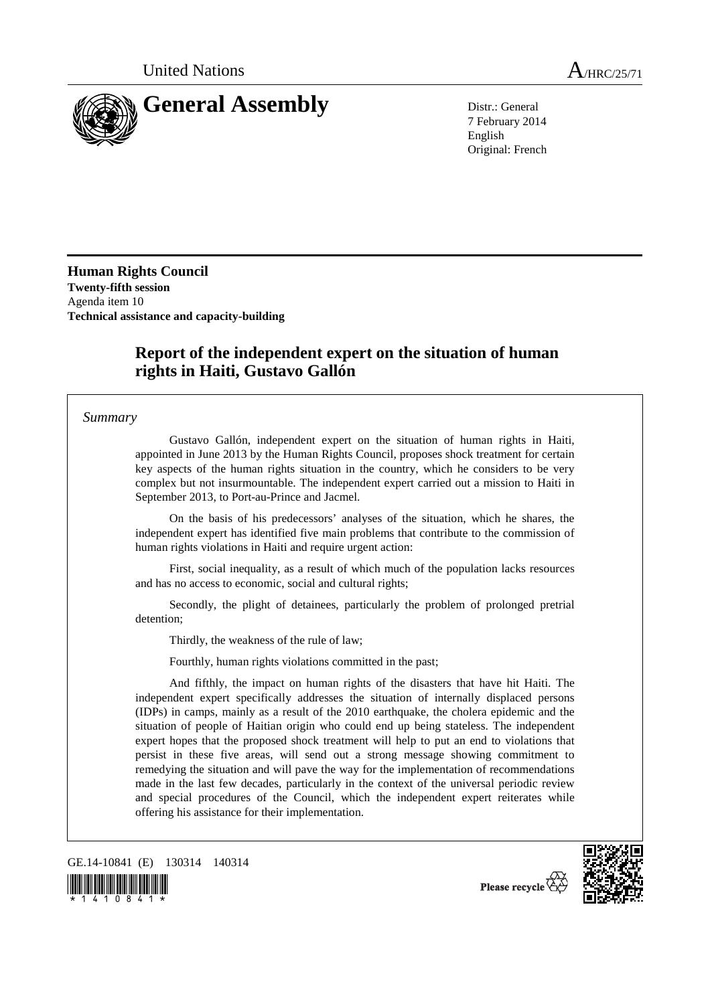

7 February 2014 English Original: French

**Human Rights Council Twenty-fifth session**  Agenda item 10 **Technical assistance and capacity-building** 

# **Report of the independent expert on the situation of human rights in Haiti, Gustavo Gallón**

*Summary*

 Gustavo Gallón, independent expert on the situation of human rights in Haiti, appointed in June 2013 by the Human Rights Council, proposes shock treatment for certain key aspects of the human rights situation in the country, which he considers to be very complex but not insurmountable. The independent expert carried out a mission to Haiti in September 2013, to Port-au-Prince and Jacmel.

 On the basis of his predecessors' analyses of the situation, which he shares, the independent expert has identified five main problems that contribute to the commission of human rights violations in Haiti and require urgent action:

 First, social inequality, as a result of which much of the population lacks resources and has no access to economic, social and cultural rights;

 Secondly, the plight of detainees, particularly the problem of prolonged pretrial detention;

Thirdly, the weakness of the rule of law;

Fourthly, human rights violations committed in the past;

 And fifthly, the impact on human rights of the disasters that have hit Haiti. The independent expert specifically addresses the situation of internally displaced persons (IDPs) in camps, mainly as a result of the 2010 earthquake, the cholera epidemic and the situation of people of Haitian origin who could end up being stateless. The independent expert hopes that the proposed shock treatment will help to put an end to violations that persist in these five areas, will send out a strong message showing commitment to remedying the situation and will pave the way for the implementation of recommendations made in the last few decades, particularly in the context of the universal periodic review and special procedures of the Council, which the independent expert reiterates while offering his assistance for their implementation.

GE.14-10841 (E) 130314 140314





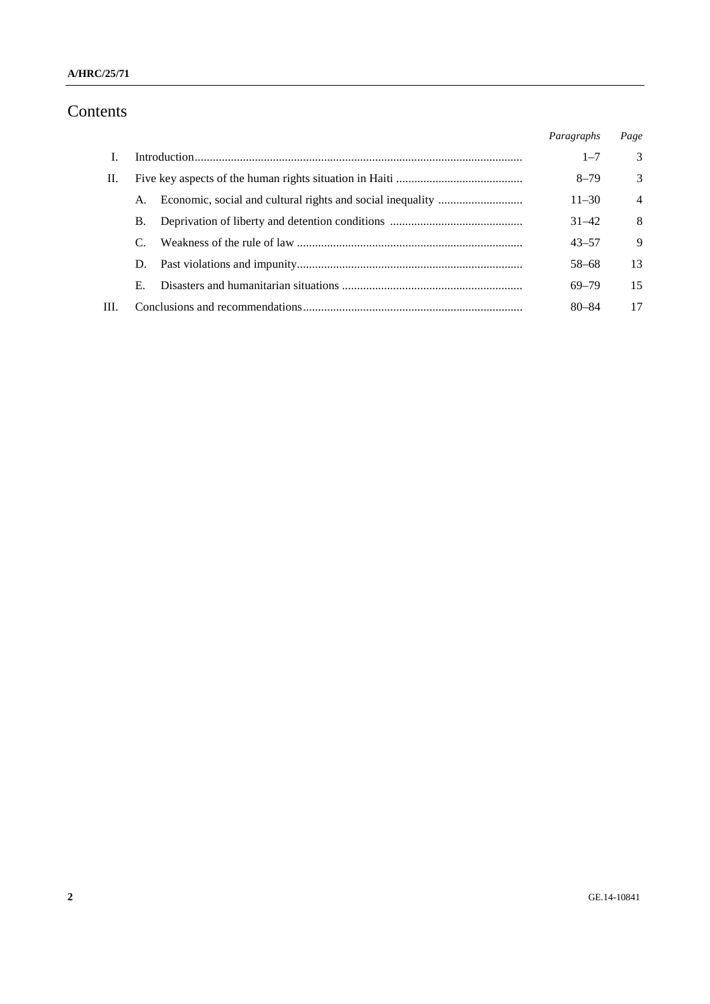# Contents

|      |    | Paragraphs | Page           |
|------|----|------------|----------------|
|      |    | $1 - 7$    | 3              |
| П.   |    | $8 - 79$   | 3              |
|      | A. | $11 - 30$  | $\overline{4}$ |
|      | В. | $31 - 42$  | 8              |
|      |    | $43 - 57$  | 9              |
|      | D. | 58-68      | 13             |
|      | Е. | $69 - 79$  | 15             |
| III. |    | $80 - 84$  | 17             |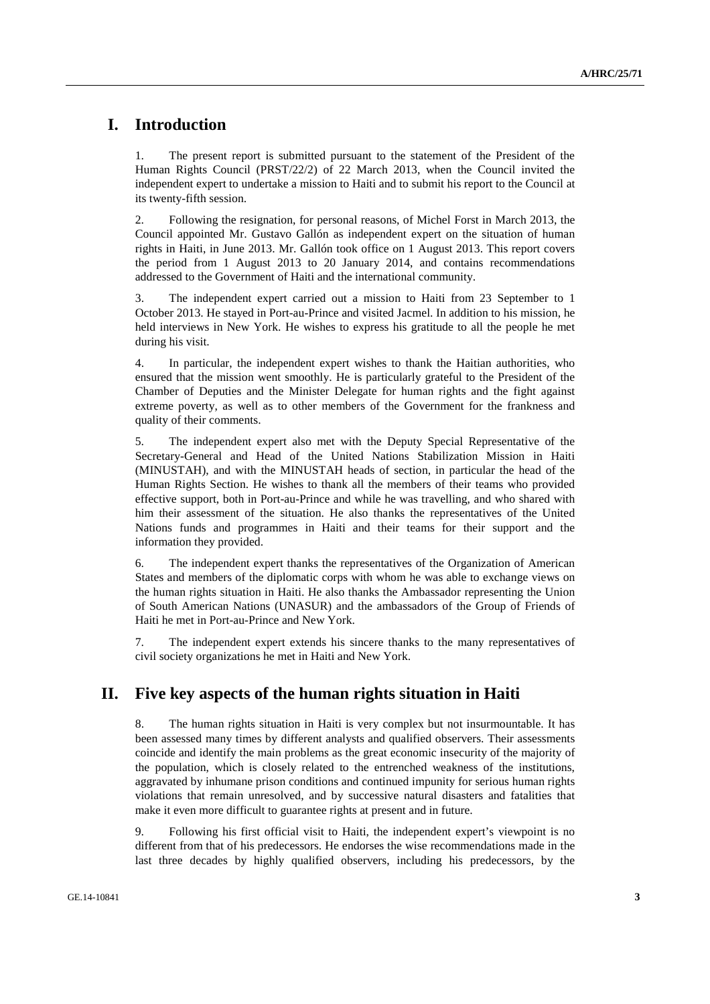## **I. Introduction**

1. The present report is submitted pursuant to the statement of the President of the Human Rights Council (PRST/22/2) of 22 March 2013, when the Council invited the independent expert to undertake a mission to Haiti and to submit his report to the Council at its twenty-fifth session.

2. Following the resignation, for personal reasons, of Michel Forst in March 2013, the Council appointed Mr. Gustavo Gallón as independent expert on the situation of human rights in Haiti, in June 2013. Mr. Gallón took office on 1 August 2013. This report covers the period from 1 August 2013 to 20 January 2014, and contains recommendations addressed to the Government of Haiti and the international community.

3. The independent expert carried out a mission to Haiti from 23 September to 1 October 2013. He stayed in Port-au-Prince and visited Jacmel. In addition to his mission, he held interviews in New York. He wishes to express his gratitude to all the people he met during his visit.

4. In particular, the independent expert wishes to thank the Haitian authorities, who ensured that the mission went smoothly. He is particularly grateful to the President of the Chamber of Deputies and the Minister Delegate for human rights and the fight against extreme poverty, as well as to other members of the Government for the frankness and quality of their comments.

5. The independent expert also met with the Deputy Special Representative of the Secretary-General and Head of the United Nations Stabilization Mission in Haiti (MINUSTAH), and with the MINUSTAH heads of section, in particular the head of the Human Rights Section. He wishes to thank all the members of their teams who provided effective support, both in Port-au-Prince and while he was travelling, and who shared with him their assessment of the situation. He also thanks the representatives of the United Nations funds and programmes in Haiti and their teams for their support and the information they provided.

6. The independent expert thanks the representatives of the Organization of American States and members of the diplomatic corps with whom he was able to exchange views on the human rights situation in Haiti. He also thanks the Ambassador representing the Union of South American Nations (UNASUR) and the ambassadors of the Group of Friends of Haiti he met in Port-au-Prince and New York.

7. The independent expert extends his sincere thanks to the many representatives of civil society organizations he met in Haiti and New York.

### **II. Five key aspects of the human rights situation in Haiti**

8. The human rights situation in Haiti is very complex but not insurmountable. It has been assessed many times by different analysts and qualified observers. Their assessments coincide and identify the main problems as the great economic insecurity of the majority of the population, which is closely related to the entrenched weakness of the institutions, aggravated by inhumane prison conditions and continued impunity for serious human rights violations that remain unresolved, and by successive natural disasters and fatalities that make it even more difficult to guarantee rights at present and in future.

9. Following his first official visit to Haiti, the independent expert's viewpoint is no different from that of his predecessors. He endorses the wise recommendations made in the last three decades by highly qualified observers, including his predecessors, by the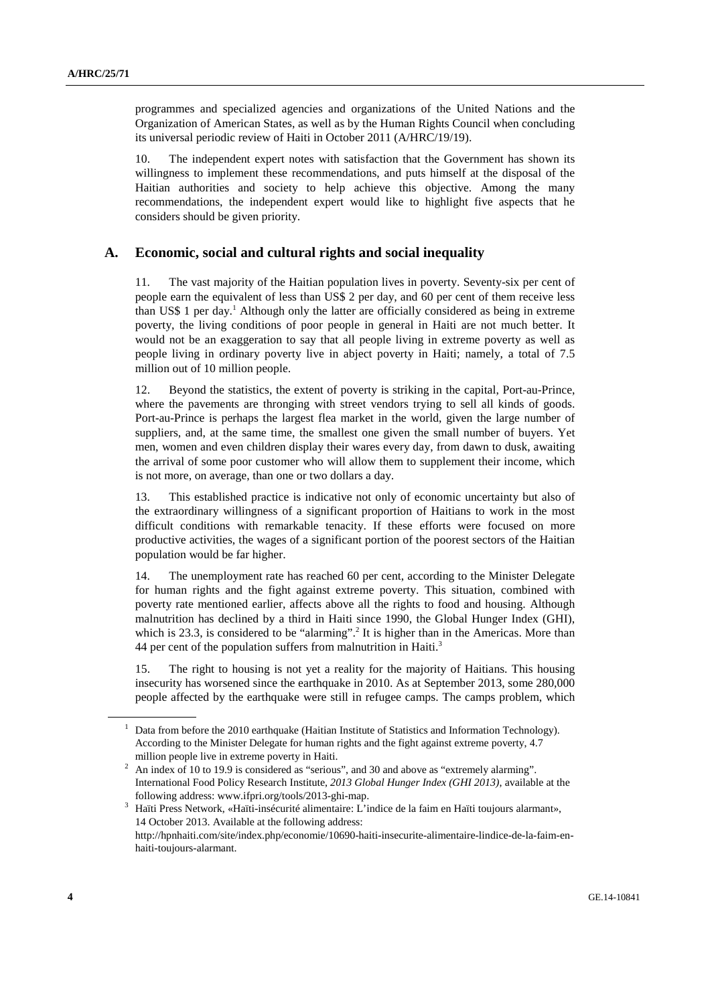programmes and specialized agencies and organizations of the United Nations and the Organization of American States, as well as by the Human Rights Council when concluding its universal periodic review of Haiti in October 2011 (A/HRC/19/19).

10. The independent expert notes with satisfaction that the Government has shown its willingness to implement these recommendations, and puts himself at the disposal of the Haitian authorities and society to help achieve this objective. Among the many recommendations, the independent expert would like to highlight five aspects that he considers should be given priority.

#### **A. Economic, social and cultural rights and social inequality**

11. The vast majority of the Haitian population lives in poverty. Seventy-six per cent of people earn the equivalent of less than US\$ 2 per day, and 60 per cent of them receive less than US\$ 1 per day.<sup>1</sup> Although only the latter are officially considered as being in extreme poverty, the living conditions of poor people in general in Haiti are not much better. It would not be an exaggeration to say that all people living in extreme poverty as well as people living in ordinary poverty live in abject poverty in Haiti; namely, a total of 7.5 million out of 10 million people.

12. Beyond the statistics, the extent of poverty is striking in the capital, Port-au-Prince, where the pavements are thronging with street vendors trying to sell all kinds of goods. Port-au-Prince is perhaps the largest flea market in the world, given the large number of suppliers, and, at the same time, the smallest one given the small number of buyers. Yet men, women and even children display their wares every day, from dawn to dusk, awaiting the arrival of some poor customer who will allow them to supplement their income, which is not more, on average, than one or two dollars a day.

13. This established practice is indicative not only of economic uncertainty but also of the extraordinary willingness of a significant proportion of Haitians to work in the most difficult conditions with remarkable tenacity. If these efforts were focused on more productive activities, the wages of a significant portion of the poorest sectors of the Haitian population would be far higher.

14. The unemployment rate has reached 60 per cent, according to the Minister Delegate for human rights and the fight against extreme poverty. This situation, combined with poverty rate mentioned earlier, affects above all the rights to food and housing. Although malnutrition has declined by a third in Haiti since 1990, the Global Hunger Index (GHI), which is 23.3, is considered to be "alarming".<sup>2</sup> It is higher than in the Americas. More than 44 per cent of the population suffers from malnutrition in Haiti.<sup>3</sup>

15. The right to housing is not yet a reality for the majority of Haitians. This housing insecurity has worsened since the earthquake in 2010. As at September 2013, some 280,000 people affected by the earthquake were still in refugee camps. The camps problem, which

<sup>1</sup> Data from before the 2010 earthquake (Haitian Institute of Statistics and Information Technology). According to the Minister Delegate for human rights and the fight against extreme poverty, 4.7

million people live in extreme poverty in Haiti.<br><sup>2</sup> An index of 10 to 19.9 is considered as "serious", and 30 and above as "extremely alarming". International Food Policy Research Institute, *2013 Global Hunger Index (GHI 2013)*, available at the following address: www.ifpri.org/tools/2013-ghi-map.

Haïti Press Network, «Haïti-insécurité alimentaire: L'indice de la faim en Haïti toujours alarmant», 14 October 2013. Available at the following address: http://hpnhaiti.com/site/index.php/economie/10690-haiti-insecurite-alimentaire-lindice-de-la-faim-enhaiti-toujours-alarmant.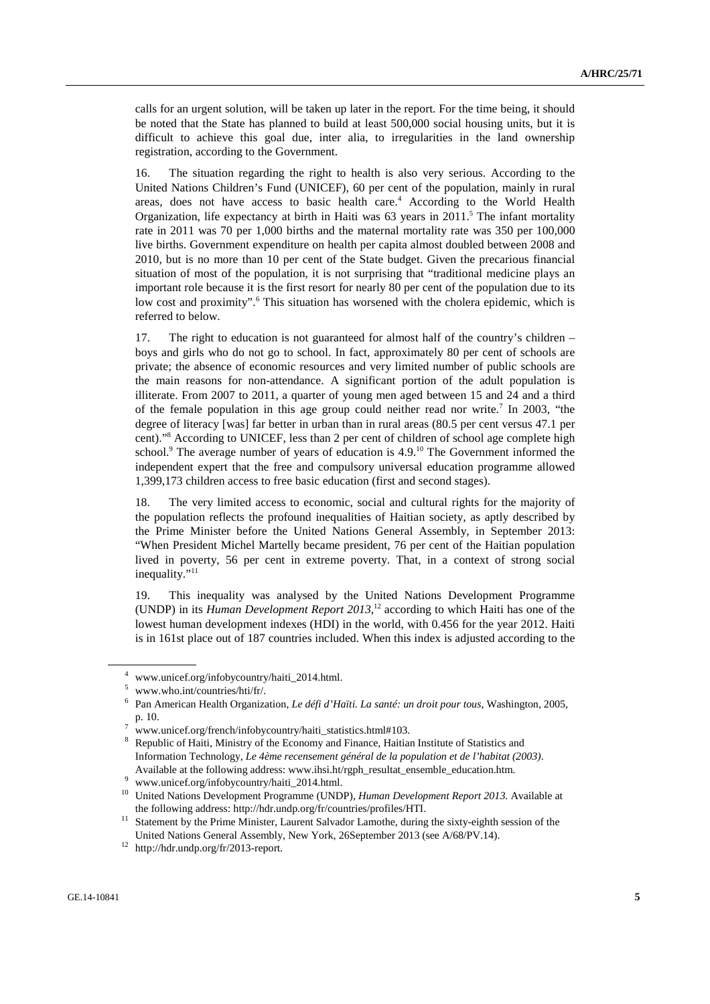calls for an urgent solution, will be taken up later in the report. For the time being, it should be noted that the State has planned to build at least 500,000 social housing units, but it is difficult to achieve this goal due, inter alia, to irregularities in the land ownership registration, according to the Government.

16. The situation regarding the right to health is also very serious. According to the United Nations Children's Fund (UNICEF), 60 per cent of the population, mainly in rural areas, does not have access to basic health care.<sup>4</sup> According to the World Health Organization, life expectancy at birth in Haiti was 63 years in 2011.<sup>5</sup> The infant mortality rate in 2011 was 70 per 1,000 births and the maternal mortality rate was 350 per 100,000 live births. Government expenditure on health per capita almost doubled between 2008 and 2010, but is no more than 10 per cent of the State budget. Given the precarious financial situation of most of the population, it is not surprising that "traditional medicine plays an important role because it is the first resort for nearly 80 per cent of the population due to its low cost and proximity".<sup>6</sup> This situation has worsened with the cholera epidemic, which is referred to below.

17. The right to education is not guaranteed for almost half of the country's children – boys and girls who do not go to school. In fact, approximately 80 per cent of schools are private; the absence of economic resources and very limited number of public schools are the main reasons for non-attendance. A significant portion of the adult population is illiterate. From 2007 to 2011, a quarter of young men aged between 15 and 24 and a third of the female population in this age group could neither read nor write.<sup>7</sup> In 2003, "the degree of literacy [was] far better in urban than in rural areas (80.5 per cent versus 47.1 per cent)."8 According to UNICEF, less than 2 per cent of children of school age complete high school.<sup>9</sup> The average number of years of education is 4.9.<sup>10</sup> The Government informed the independent expert that the free and compulsory universal education programme allowed 1,399,173 children access to free basic education (first and second stages).

18. The very limited access to economic, social and cultural rights for the majority of the population reflects the profound inequalities of Haitian society, as aptly described by the Prime Minister before the United Nations General Assembly, in September 2013: "When President Michel Martelly became president, 76 per cent of the Haitian population lived in poverty, 56 per cent in extreme poverty. That, in a context of strong social inequality."<sup>11</sup>

19. This inequality was analysed by the United Nations Development Programme (UNDP) in its *Human Development Report 2013*, 12 according to which Haiti has one of the lowest human development indexes (HDI) in the world, with 0.456 for the year 2012. Haiti is in 161st place out of 187 countries included. When this index is adjusted according to the

<sup>4</sup> www.unicef.org/infobycountry/haiti\_2014.html.

<sup>5</sup> www.who.int/countries/hti/fr/.

<sup>6</sup> Pan American Health Organization, *Le défi d'Haïti. La santé: un droit pour tous*, Washington, 2005, p. 10.

www.unicef.org/french/infobycountry/haiti\_statistics.html#103.

<sup>8</sup> Republic of Haiti, Ministry of the Economy and Finance, Haitian Institute of Statistics and Information Technology, *Le 4ème recensement général de la population et de l'habitat (2003)*. Available at the following address: www.ihsi.ht/rgph\_resultat\_ensemble\_education.htm.<br>9 nonmounisef enclinfabres were desired and html

www.unicef.org/infobycountry/haiti\_2014.html.

<sup>10</sup> United Nations Development Programme (UNDP), *Human Development Report 2013.* Available at the following address: http://hdr.undp.org/fr/countries/profiles/HTI.<br><sup>11</sup> Statement by the Prime Minister, Laurent Salvador Lamothe, during the sixty-eighth session of the

United Nations General Assembly, New York, 26September 2013 (see A/68/PV.14). 12 http://hdr.undp.org/fr/2013-report.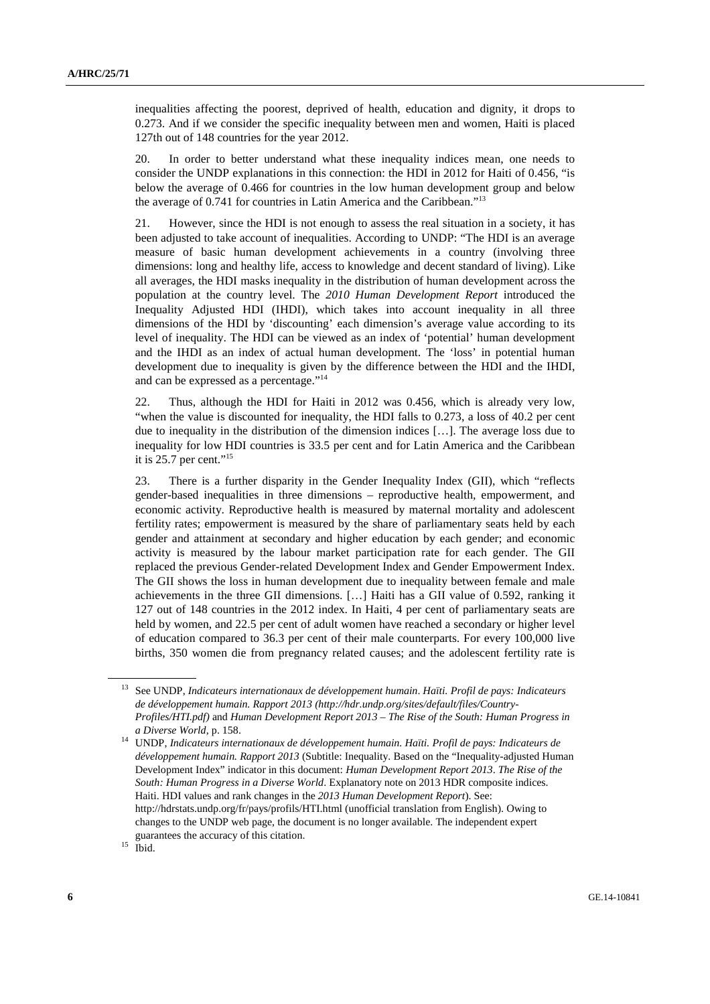inequalities affecting the poorest, deprived of health, education and dignity, it drops to 0.273. And if we consider the specific inequality between men and women, Haiti is placed 127th out of 148 countries for the year 2012.

20. In order to better understand what these inequality indices mean, one needs to consider the UNDP explanations in this connection: the HDI in 2012 for Haiti of 0.456, "is below the average of 0.466 for countries in the low human development group and below the average of 0.741 for countries in Latin America and the Caribbean."13

21. However, since the HDI is not enough to assess the real situation in a society, it has been adjusted to take account of inequalities. According to UNDP: "The HDI is an average measure of basic human development achievements in a country (involving three dimensions: long and healthy life, access to knowledge and decent standard of living). Like all averages, the HDI masks inequality in the distribution of human development across the population at the country level. The *2010 Human Development Report* introduced the Inequality Adjusted HDI (IHDI), which takes into account inequality in all three dimensions of the HDI by 'discounting' each dimension's average value according to its level of inequality. The HDI can be viewed as an index of 'potential' human development and the IHDI as an index of actual human development. The 'loss' in potential human development due to inequality is given by the difference between the HDI and the IHDI, and can be expressed as a percentage."14

22. Thus, although the HDI for Haiti in 2012 was 0.456, which is already very low, "when the value is discounted for inequality, the HDI falls to 0.273, a loss of 40.2 per cent due to inequality in the distribution of the dimension indices […]. The average loss due to inequality for low HDI countries is 33.5 per cent and for Latin America and the Caribbean it is  $25.7$  per cent."<sup>15</sup>

23. There is a further disparity in the Gender Inequality Index (GII), which "reflects gender-based inequalities in three dimensions – reproductive health, empowerment, and economic activity. Reproductive health is measured by maternal mortality and adolescent fertility rates; empowerment is measured by the share of parliamentary seats held by each gender and attainment at secondary and higher education by each gender; and economic activity is measured by the labour market participation rate for each gender. The GII replaced the previous Gender-related Development Index and Gender Empowerment Index. The GII shows the loss in human development due to inequality between female and male achievements in the three GII dimensions. […] Haiti has a GII value of 0.592, ranking it 127 out of 148 countries in the 2012 index. In Haiti, 4 per cent of parliamentary seats are held by women, and 22.5 per cent of adult women have reached a secondary or higher level of education compared to 36.3 per cent of their male counterparts. For every 100,000 live births, 350 women die from pregnancy related causes; and the adolescent fertility rate is

<sup>13</sup> See UNDP, *Indicateurs internationaux de développement humain*. *Haïti. Profil de pays: Indicateurs de développement humain. Rapport 2013 (http://hdr.undp.org/sites/default/files/Country-Profiles/HTI.pdf)* and *Human Development Report 2013* – *The Rise of the South: Human Progress in* 

*a Diverse World,* p. 158. 14 UNDP, *Indicateurs internationaux de développement humain. Haïti. Profil de pays: Indicateurs de développement humain. Rapport 2013* (Subtitle: Inequality. Based on the "Inequality-adjusted Human Development Index" indicator in this document: *Human Development Report 2013*. *The Rise of the South: Human Progress in a Diverse World*. Explanatory note on 2013 HDR composite indices. Haiti. HDI values and rank changes in the *2013 Human Development Report*). See: http://hdrstats.undp.org/fr/pays/profils/HTI.html (unofficial translation from English). Owing to changes to the UNDP web page, the document is no longer available. The independent expert guarantees the accuracy of this citation.<br><sup>15</sup> Ibid.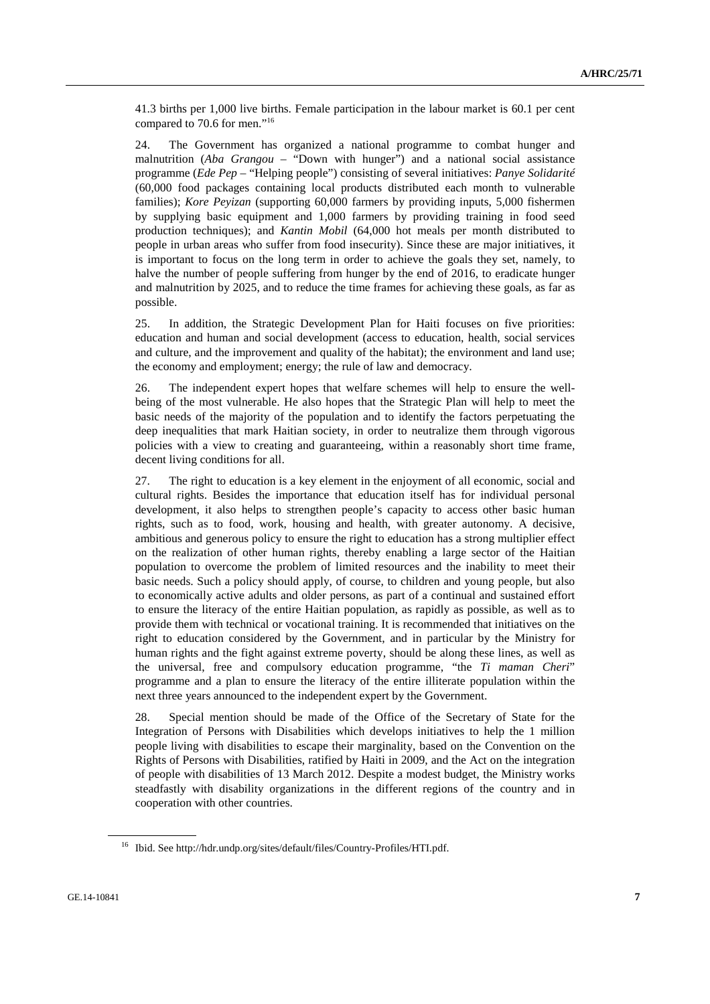41.3 births per 1,000 live births. Female participation in the labour market is 60.1 per cent compared to 70.6 for men."16

24. The Government has organized a national programme to combat hunger and malnutrition (*Aba Grangou* – "Down with hunger") and a national social assistance programme (*Ede Pep* – "Helping people") consisting of several initiatives: *Panye Solidarité* (60,000 food packages containing local products distributed each month to vulnerable families); *Kore Peyizan* (supporting 60,000 farmers by providing inputs, 5,000 fishermen by supplying basic equipment and 1,000 farmers by providing training in food seed production techniques); and *Kantin Mobil* (64,000 hot meals per month distributed to people in urban areas who suffer from food insecurity). Since these are major initiatives, it is important to focus on the long term in order to achieve the goals they set, namely, to halve the number of people suffering from hunger by the end of 2016, to eradicate hunger and malnutrition by 2025, and to reduce the time frames for achieving these goals, as far as possible.

25. In addition, the Strategic Development Plan for Haiti focuses on five priorities: education and human and social development (access to education, health, social services and culture, and the improvement and quality of the habitat); the environment and land use; the economy and employment; energy; the rule of law and democracy.

26. The independent expert hopes that welfare schemes will help to ensure the wellbeing of the most vulnerable. He also hopes that the Strategic Plan will help to meet the basic needs of the majority of the population and to identify the factors perpetuating the deep inequalities that mark Haitian society, in order to neutralize them through vigorous policies with a view to creating and guaranteeing, within a reasonably short time frame, decent living conditions for all.

27. The right to education is a key element in the enjoyment of all economic, social and cultural rights. Besides the importance that education itself has for individual personal development, it also helps to strengthen people's capacity to access other basic human rights, such as to food, work, housing and health, with greater autonomy. A decisive, ambitious and generous policy to ensure the right to education has a strong multiplier effect on the realization of other human rights, thereby enabling a large sector of the Haitian population to overcome the problem of limited resources and the inability to meet their basic needs. Such a policy should apply, of course, to children and young people, but also to economically active adults and older persons, as part of a continual and sustained effort to ensure the literacy of the entire Haitian population, as rapidly as possible, as well as to provide them with technical or vocational training. It is recommended that initiatives on the right to education considered by the Government, and in particular by the Ministry for human rights and the fight against extreme poverty, should be along these lines, as well as the universal, free and compulsory education programme, "the *Ti maman Cheri*" programme and a plan to ensure the literacy of the entire illiterate population within the next three years announced to the independent expert by the Government.

28. Special mention should be made of the Office of the Secretary of State for the Integration of Persons with Disabilities which develops initiatives to help the 1 million people living with disabilities to escape their marginality, based on the Convention on the Rights of Persons with Disabilities, ratified by Haiti in 2009, and the Act on the integration of people with disabilities of 13 March 2012. Despite a modest budget, the Ministry works steadfastly with disability organizations in the different regions of the country and in cooperation with other countries.

<sup>16</sup> Ibid. See http://hdr.undp.org/sites/default/files/Country-Profiles/HTI.pdf.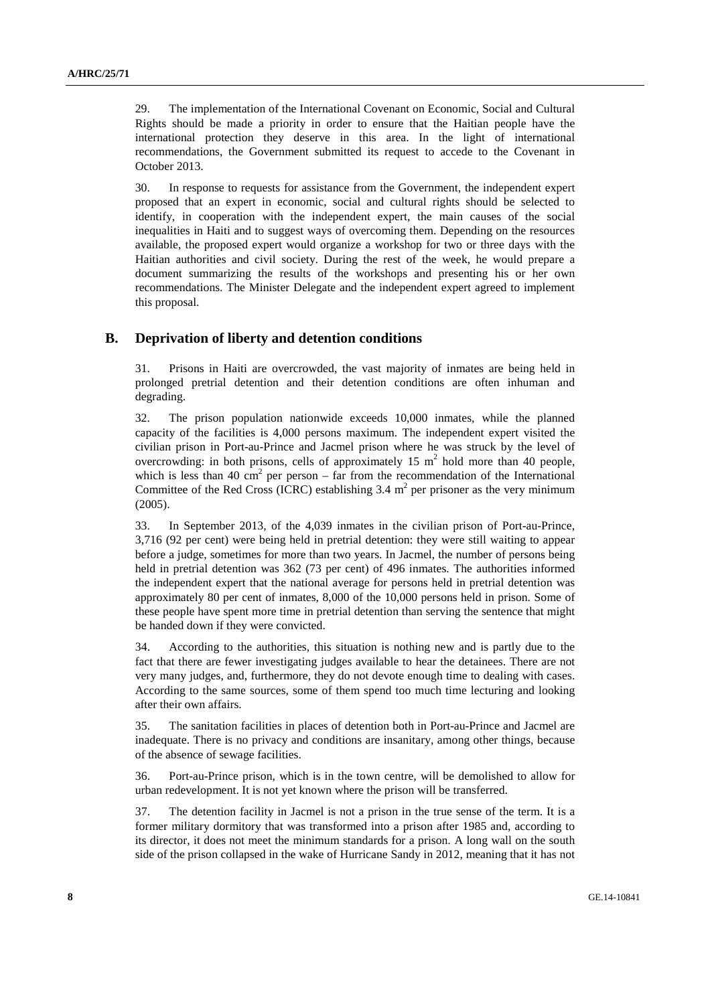29. The implementation of the International Covenant on Economic, Social and Cultural Rights should be made a priority in order to ensure that the Haitian people have the international protection they deserve in this area. In the light of international recommendations, the Government submitted its request to accede to the Covenant in October 2013.

30. In response to requests for assistance from the Government, the independent expert proposed that an expert in economic, social and cultural rights should be selected to identify, in cooperation with the independent expert, the main causes of the social inequalities in Haiti and to suggest ways of overcoming them. Depending on the resources available, the proposed expert would organize a workshop for two or three days with the Haitian authorities and civil society. During the rest of the week, he would prepare a document summarizing the results of the workshops and presenting his or her own recommendations. The Minister Delegate and the independent expert agreed to implement this proposal.

#### **B. Deprivation of liberty and detention conditions**

31. Prisons in Haiti are overcrowded, the vast majority of inmates are being held in prolonged pretrial detention and their detention conditions are often inhuman and degrading.

32. The prison population nationwide exceeds 10,000 inmates, while the planned capacity of the facilities is 4,000 persons maximum. The independent expert visited the civilian prison in Port-au-Prince and Jacmel prison where he was struck by the level of overcrowding: in both prisons, cells of approximately 15  $m<sup>2</sup>$  hold more than 40 people, which is less than 40 cm<sup>2</sup> per person – far from the recommendation of the International Committee of the Red Cross (ICRC) establishing  $3.4 \text{ m}^2$  per prisoner as the very minimum (2005).

33. In September 2013, of the 4,039 inmates in the civilian prison of Port-au-Prince, 3,716 (92 per cent) were being held in pretrial detention: they were still waiting to appear before a judge, sometimes for more than two years. In Jacmel, the number of persons being held in pretrial detention was 362 (73 per cent) of 496 inmates. The authorities informed the independent expert that the national average for persons held in pretrial detention was approximately 80 per cent of inmates, 8,000 of the 10,000 persons held in prison. Some of these people have spent more time in pretrial detention than serving the sentence that might be handed down if they were convicted.

34. According to the authorities, this situation is nothing new and is partly due to the fact that there are fewer investigating judges available to hear the detainees. There are not very many judges, and, furthermore, they do not devote enough time to dealing with cases. According to the same sources, some of them spend too much time lecturing and looking after their own affairs.

35. The sanitation facilities in places of detention both in Port-au-Prince and Jacmel are inadequate. There is no privacy and conditions are insanitary, among other things, because of the absence of sewage facilities.

36. Port-au-Prince prison, which is in the town centre, will be demolished to allow for urban redevelopment. It is not yet known where the prison will be transferred.

37. The detention facility in Jacmel is not a prison in the true sense of the term. It is a former military dormitory that was transformed into a prison after 1985 and, according to its director, it does not meet the minimum standards for a prison. A long wall on the south side of the prison collapsed in the wake of Hurricane Sandy in 2012, meaning that it has not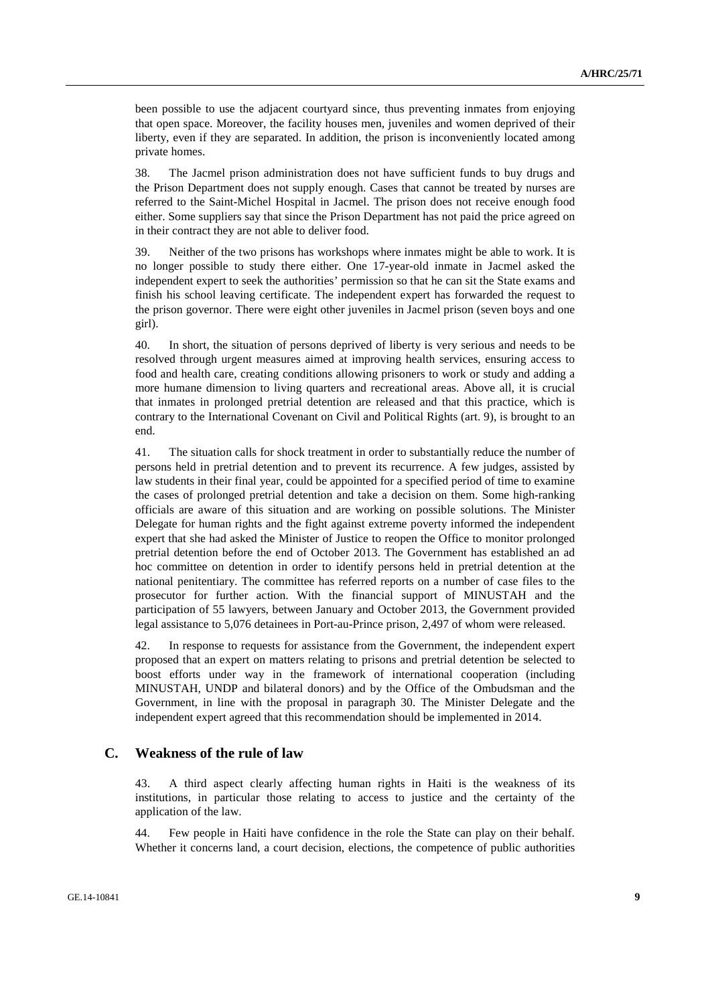been possible to use the adjacent courtyard since, thus preventing inmates from enjoying that open space. Moreover, the facility houses men, juveniles and women deprived of their liberty, even if they are separated. In addition, the prison is inconveniently located among private homes.

38. The Jacmel prison administration does not have sufficient funds to buy drugs and the Prison Department does not supply enough. Cases that cannot be treated by nurses are referred to the Saint-Michel Hospital in Jacmel. The prison does not receive enough food either. Some suppliers say that since the Prison Department has not paid the price agreed on in their contract they are not able to deliver food.

39. Neither of the two prisons has workshops where inmates might be able to work. It is no longer possible to study there either. One 17-year-old inmate in Jacmel asked the independent expert to seek the authorities' permission so that he can sit the State exams and finish his school leaving certificate. The independent expert has forwarded the request to the prison governor. There were eight other juveniles in Jacmel prison (seven boys and one girl).

40. In short, the situation of persons deprived of liberty is very serious and needs to be resolved through urgent measures aimed at improving health services, ensuring access to food and health care, creating conditions allowing prisoners to work or study and adding a more humane dimension to living quarters and recreational areas. Above all, it is crucial that inmates in prolonged pretrial detention are released and that this practice, which is contrary to the International Covenant on Civil and Political Rights (art. 9), is brought to an end.

41. The situation calls for shock treatment in order to substantially reduce the number of persons held in pretrial detention and to prevent its recurrence. A few judges, assisted by law students in their final year, could be appointed for a specified period of time to examine the cases of prolonged pretrial detention and take a decision on them. Some high-ranking officials are aware of this situation and are working on possible solutions. The Minister Delegate for human rights and the fight against extreme poverty informed the independent expert that she had asked the Minister of Justice to reopen the Office to monitor prolonged pretrial detention before the end of October 2013. The Government has established an ad hoc committee on detention in order to identify persons held in pretrial detention at the national penitentiary. The committee has referred reports on a number of case files to the prosecutor for further action. With the financial support of MINUSTAH and the participation of 55 lawyers, between January and October 2013, the Government provided legal assistance to 5,076 detainees in Port-au-Prince prison, 2,497 of whom were released.

42. In response to requests for assistance from the Government, the independent expert proposed that an expert on matters relating to prisons and pretrial detention be selected to boost efforts under way in the framework of international cooperation (including MINUSTAH, UNDP and bilateral donors) and by the Office of the Ombudsman and the Government, in line with the proposal in paragraph 30. The Minister Delegate and the independent expert agreed that this recommendation should be implemented in 2014.

#### **C. Weakness of the rule of law**

43. A third aspect clearly affecting human rights in Haiti is the weakness of its institutions, in particular those relating to access to justice and the certainty of the application of the law.

44. Few people in Haiti have confidence in the role the State can play on their behalf. Whether it concerns land, a court decision, elections, the competence of public authorities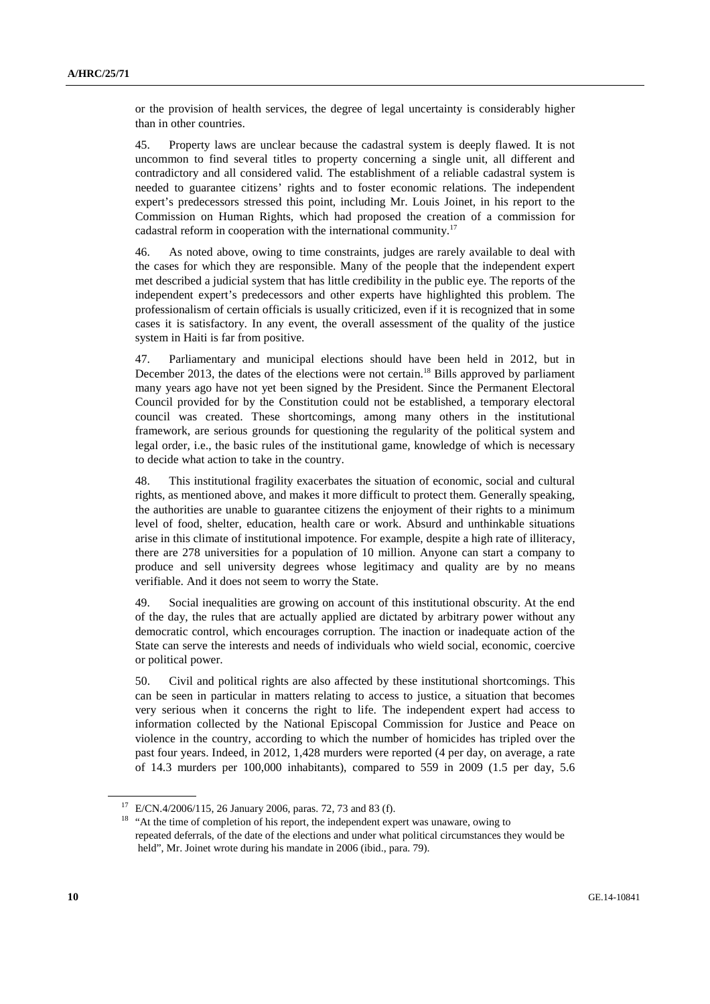or the provision of health services, the degree of legal uncertainty is considerably higher than in other countries.

45. Property laws are unclear because the cadastral system is deeply flawed. It is not uncommon to find several titles to property concerning a single unit, all different and contradictory and all considered valid. The establishment of a reliable cadastral system is needed to guarantee citizens' rights and to foster economic relations. The independent expert's predecessors stressed this point, including Mr. Louis Joinet, in his report to the Commission on Human Rights, which had proposed the creation of a commission for cadastral reform in cooperation with the international community.17

46. As noted above, owing to time constraints, judges are rarely available to deal with the cases for which they are responsible. Many of the people that the independent expert met described a judicial system that has little credibility in the public eye. The reports of the independent expert's predecessors and other experts have highlighted this problem. The professionalism of certain officials is usually criticized, even if it is recognized that in some cases it is satisfactory. In any event, the overall assessment of the quality of the justice system in Haiti is far from positive.

47. Parliamentary and municipal elections should have been held in 2012, but in December 2013, the dates of the elections were not certain.<sup>18</sup> Bills approved by parliament many years ago have not yet been signed by the President. Since the Permanent Electoral Council provided for by the Constitution could not be established, a temporary electoral council was created. These shortcomings, among many others in the institutional framework, are serious grounds for questioning the regularity of the political system and legal order, i.e., the basic rules of the institutional game, knowledge of which is necessary to decide what action to take in the country.

48. This institutional fragility exacerbates the situation of economic, social and cultural rights, as mentioned above, and makes it more difficult to protect them. Generally speaking, the authorities are unable to guarantee citizens the enjoyment of their rights to a minimum level of food, shelter, education, health care or work. Absurd and unthinkable situations arise in this climate of institutional impotence. For example, despite a high rate of illiteracy, there are 278 universities for a population of 10 million. Anyone can start a company to produce and sell university degrees whose legitimacy and quality are by no means verifiable. And it does not seem to worry the State.

49. Social inequalities are growing on account of this institutional obscurity. At the end of the day, the rules that are actually applied are dictated by arbitrary power without any democratic control, which encourages corruption. The inaction or inadequate action of the State can serve the interests and needs of individuals who wield social, economic, coercive or political power.

50. Civil and political rights are also affected by these institutional shortcomings. This can be seen in particular in matters relating to access to justice, a situation that becomes very serious when it concerns the right to life. The independent expert had access to information collected by the National Episcopal Commission for Justice and Peace on violence in the country, according to which the number of homicides has tripled over the past four years. Indeed, in 2012, 1,428 murders were reported (4 per day, on average, a rate of 14.3 murders per 100,000 inhabitants), compared to 559 in 2009 (1.5 per day, 5.6

<sup>17</sup> E/CN.4/2006/115, 26 January 2006, paras. 72, 73 and 83 (f).

<sup>&</sup>lt;sup>18</sup> "At the time of completion of his report, the independent expert was unaware, owing to repeated deferrals, of the date of the elections and under what political circumstances they would be held", Mr. Joinet wrote during his mandate in 2006 (ibid., para. 79).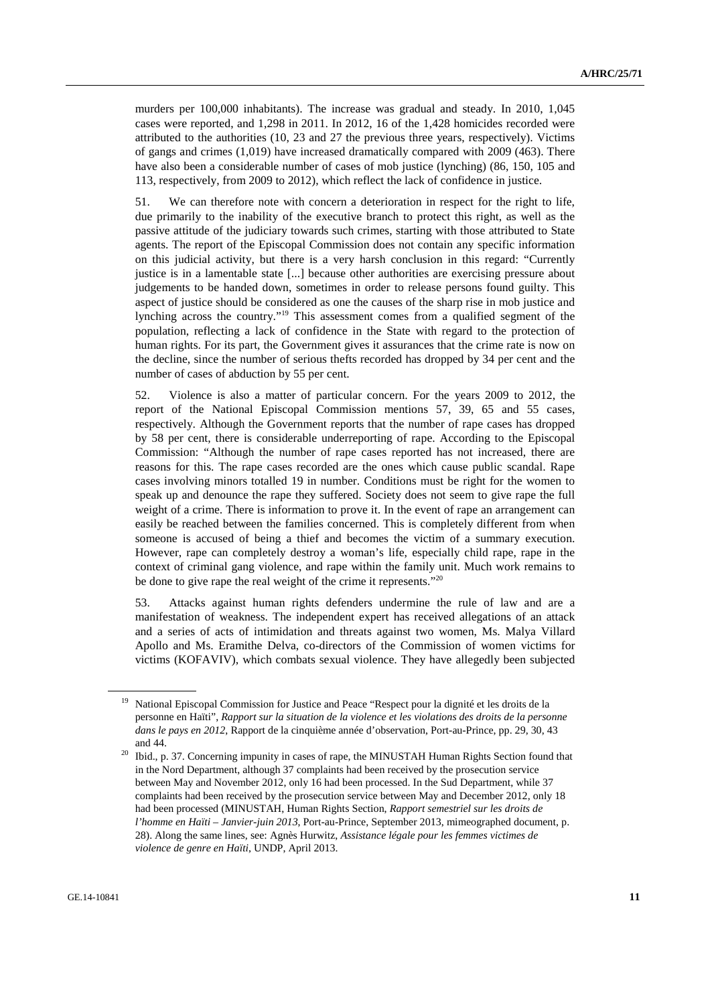murders per 100,000 inhabitants). The increase was gradual and steady. In 2010, 1,045 cases were reported, and 1,298 in 2011. In 2012, 16 of the 1,428 homicides recorded were attributed to the authorities (10, 23 and 27 the previous three years, respectively). Victims of gangs and crimes (1,019) have increased dramatically compared with 2009 (463). There have also been a considerable number of cases of mob justice (lynching) (86, 150, 105 and 113, respectively, from 2009 to 2012), which reflect the lack of confidence in justice.

51. We can therefore note with concern a deterioration in respect for the right to life, due primarily to the inability of the executive branch to protect this right, as well as the passive attitude of the judiciary towards such crimes, starting with those attributed to State agents. The report of the Episcopal Commission does not contain any specific information on this judicial activity, but there is a very harsh conclusion in this regard: "Currently justice is in a lamentable state [...] because other authorities are exercising pressure about judgements to be handed down, sometimes in order to release persons found guilty. This aspect of justice should be considered as one the causes of the sharp rise in mob justice and lynching across the country."19 This assessment comes from a qualified segment of the population, reflecting a lack of confidence in the State with regard to the protection of human rights. For its part, the Government gives it assurances that the crime rate is now on the decline, since the number of serious thefts recorded has dropped by 34 per cent and the number of cases of abduction by 55 per cent.

52. Violence is also a matter of particular concern. For the years 2009 to 2012, the report of the National Episcopal Commission mentions 57, 39, 65 and 55 cases, respectively. Although the Government reports that the number of rape cases has dropped by 58 per cent, there is considerable underreporting of rape. According to the Episcopal Commission: "Although the number of rape cases reported has not increased, there are reasons for this. The rape cases recorded are the ones which cause public scandal. Rape cases involving minors totalled 19 in number. Conditions must be right for the women to speak up and denounce the rape they suffered. Society does not seem to give rape the full weight of a crime. There is information to prove it. In the event of rape an arrangement can easily be reached between the families concerned. This is completely different from when someone is accused of being a thief and becomes the victim of a summary execution. However, rape can completely destroy a woman's life, especially child rape, rape in the context of criminal gang violence, and rape within the family unit. Much work remains to be done to give rape the real weight of the crime it represents."<sup>20</sup>

53. Attacks against human rights defenders undermine the rule of law and are a manifestation of weakness. The independent expert has received allegations of an attack and a series of acts of intimidation and threats against two women, Ms. Malya Villard Apollo and Ms. Eramithe Delva, co-directors of the Commission of women victims for victims (KOFAVIV), which combats sexual violence. They have allegedly been subjected

<sup>&</sup>lt;sup>19</sup> National Episcopal Commission for Justice and Peace "Respect pour la dignité et les droits de la personne en Haïti", *Rapport sur la situation de la violence et les violations des droits de la personne dans le pays en 2012*, Rapport de la cinquième année d'observation, Port-au-Prince, pp. 29, 30, 43

and 44. 20 Ibid., p. 37. Concerning impunity in cases of rape, the MINUSTAH Human Rights Section found that in the Nord Department, although 37 complaints had been received by the prosecution service between May and November 2012, only 16 had been processed. In the Sud Department, while 37 complaints had been received by the prosecution service between May and December 2012, only 18 had been processed (MINUSTAH, Human Rights Section, *Rapport semestriel sur les droits de l'homme en Haïti* – *Janvier-juin 2013*, Port-au-Prince, September 2013, mimeographed document, p. 28). Along the same lines, see: Agnès Hurwitz, *Assistance légale pour les femmes victimes de violence de genre en Haïti*, UNDP, April 2013.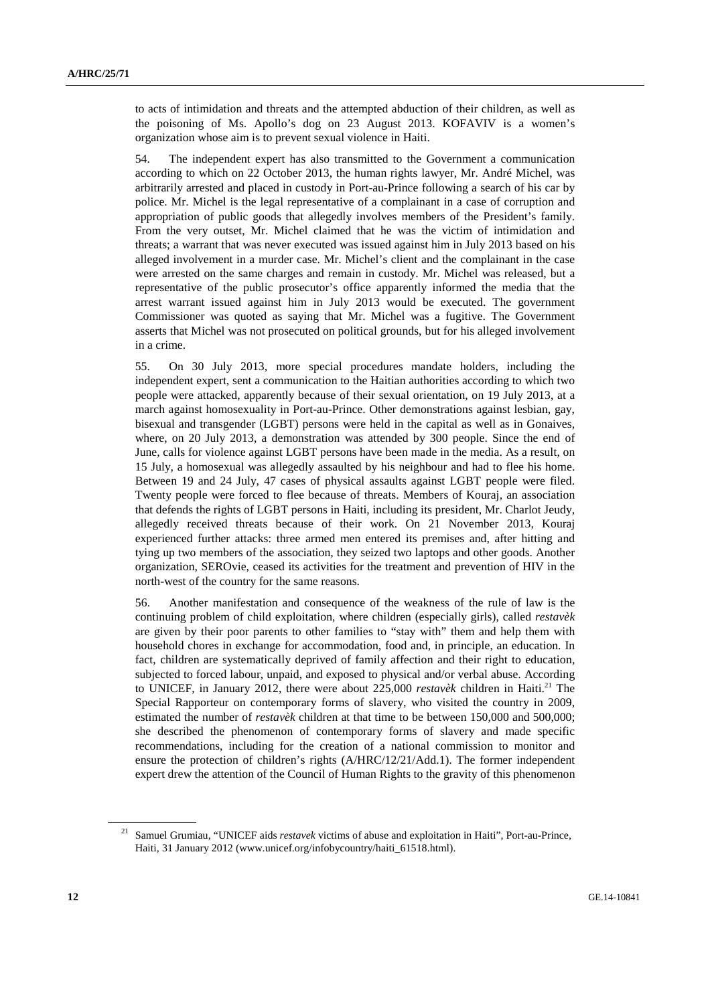to acts of intimidation and threats and the attempted abduction of their children, as well as the poisoning of Ms. Apollo's dog on 23 August 2013. KOFAVIV is a women's organization whose aim is to prevent sexual violence in Haiti.

54. The independent expert has also transmitted to the Government a communication according to which on 22 October 2013, the human rights lawyer, Mr. André Michel, was arbitrarily arrested and placed in custody in Port-au-Prince following a search of his car by police. Mr. Michel is the legal representative of a complainant in a case of corruption and appropriation of public goods that allegedly involves members of the President's family. From the very outset, Mr. Michel claimed that he was the victim of intimidation and threats; a warrant that was never executed was issued against him in July 2013 based on his alleged involvement in a murder case. Mr. Michel's client and the complainant in the case were arrested on the same charges and remain in custody. Mr. Michel was released, but a representative of the public prosecutor's office apparently informed the media that the arrest warrant issued against him in July 2013 would be executed. The government Commissioner was quoted as saying that Mr. Michel was a fugitive. The Government asserts that Michel was not prosecuted on political grounds, but for his alleged involvement in a crime.

55. On 30 July 2013, more special procedures mandate holders, including the independent expert, sent a communication to the Haitian authorities according to which two people were attacked, apparently because of their sexual orientation, on 19 July 2013, at a march against homosexuality in Port-au-Prince. Other demonstrations against lesbian, gay, bisexual and transgender (LGBT) persons were held in the capital as well as in Gonaives, where, on 20 July 2013, a demonstration was attended by 300 people. Since the end of June, calls for violence against LGBT persons have been made in the media. As a result, on 15 July, a homosexual was allegedly assaulted by his neighbour and had to flee his home. Between 19 and 24 July, 47 cases of physical assaults against LGBT people were filed. Twenty people were forced to flee because of threats. Members of Kouraj, an association that defends the rights of LGBT persons in Haiti, including its president, Mr. Charlot Jeudy, allegedly received threats because of their work. On 21 November 2013, Kouraj experienced further attacks: three armed men entered its premises and, after hitting and tying up two members of the association, they seized two laptops and other goods. Another organization, SEROvie, ceased its activities for the treatment and prevention of HIV in the north-west of the country for the same reasons.

56. Another manifestation and consequence of the weakness of the rule of law is the continuing problem of child exploitation, where children (especially girls), called *restavèk*  are given by their poor parents to other families to "stay with" them and help them with household chores in exchange for accommodation, food and, in principle, an education. In fact, children are systematically deprived of family affection and their right to education, subjected to forced labour, unpaid, and exposed to physical and/or verbal abuse. According to UNICEF, in January 2012, there were about 225,000 *restavèk* children in Haiti.<sup>21</sup> The Special Rapporteur on contemporary forms of slavery, who visited the country in 2009, estimated the number of *restavèk* children at that time to be between 150,000 and 500,000; she described the phenomenon of contemporary forms of slavery and made specific recommendations, including for the creation of a national commission to monitor and ensure the protection of children's rights (A/HRC/12/21/Add.1). The former independent expert drew the attention of the Council of Human Rights to the gravity of this phenomenon

<sup>&</sup>lt;sup>21</sup> Samuel Grumiau, "UNICEF aids *restavek* victims of abuse and exploitation in Haiti", Port-au-Prince, Haiti, 31 January 2012 (www.unicef.org/infobycountry/haiti\_61518.html).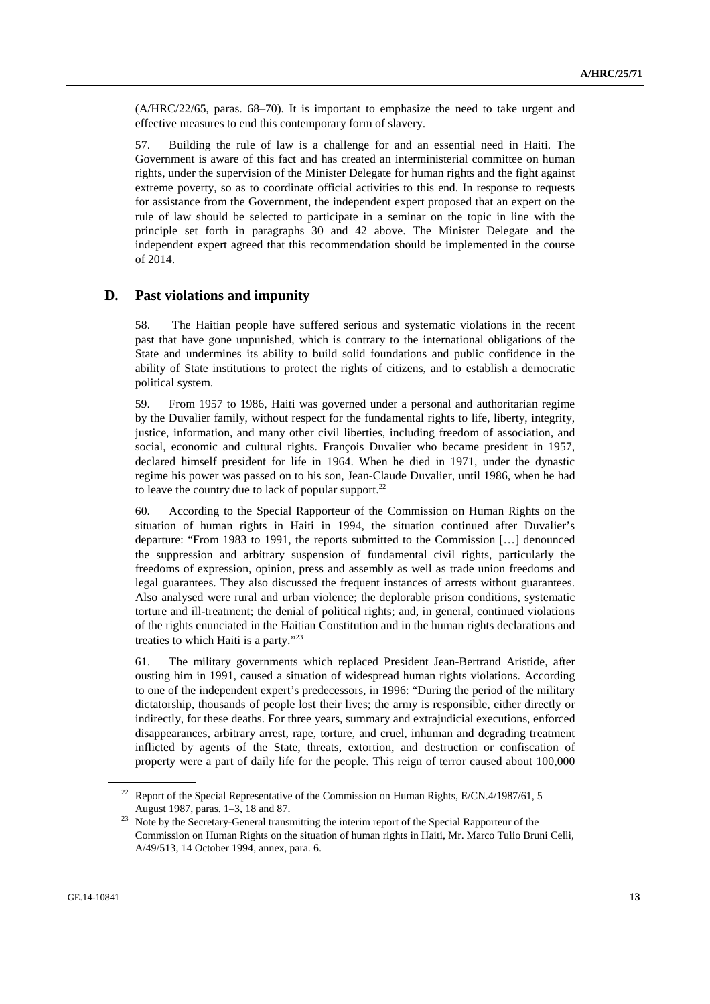(A/HRC/22/65, paras. 68–70). It is important to emphasize the need to take urgent and effective measures to end this contemporary form of slavery.

57. Building the rule of law is a challenge for and an essential need in Haiti. The Government is aware of this fact and has created an interministerial committee on human rights, under the supervision of the Minister Delegate for human rights and the fight against extreme poverty, so as to coordinate official activities to this end. In response to requests for assistance from the Government, the independent expert proposed that an expert on the rule of law should be selected to participate in a seminar on the topic in line with the principle set forth in paragraphs 30 and 42 above. The Minister Delegate and the independent expert agreed that this recommendation should be implemented in the course of 2014.

### **D. Past violations and impunity**

58. The Haitian people have suffered serious and systematic violations in the recent past that have gone unpunished, which is contrary to the international obligations of the State and undermines its ability to build solid foundations and public confidence in the ability of State institutions to protect the rights of citizens, and to establish a democratic political system.

59. From 1957 to 1986, Haiti was governed under a personal and authoritarian regime by the Duvalier family, without respect for the fundamental rights to life, liberty, integrity, justice, information, and many other civil liberties, including freedom of association, and social, economic and cultural rights. François Duvalier who became president in 1957, declared himself president for life in 1964. When he died in 1971, under the dynastic regime his power was passed on to his son, Jean-Claude Duvalier, until 1986, when he had to leave the country due to lack of popular support.<sup>22</sup>

60. According to the Special Rapporteur of the Commission on Human Rights on the situation of human rights in Haiti in 1994, the situation continued after Duvalier's departure: "From 1983 to 1991, the reports submitted to the Commission […] denounced the suppression and arbitrary suspension of fundamental civil rights, particularly the freedoms of expression, opinion, press and assembly as well as trade union freedoms and legal guarantees. They also discussed the frequent instances of arrests without guarantees. Also analysed were rural and urban violence; the deplorable prison conditions, systematic torture and ill-treatment; the denial of political rights; and, in general, continued violations of the rights enunciated in the Haitian Constitution and in the human rights declarations and treaties to which Haiti is a party."23

61. The military governments which replaced President Jean-Bertrand Aristide, after ousting him in 1991, caused a situation of widespread human rights violations. According to one of the independent expert's predecessors, in 1996: "During the period of the military dictatorship, thousands of people lost their lives; the army is responsible, either directly or indirectly, for these deaths. For three years, summary and extrajudicial executions, enforced disappearances, arbitrary arrest, rape, torture, and cruel, inhuman and degrading treatment inflicted by agents of the State, threats, extortion, and destruction or confiscation of property were a part of daily life for the people. This reign of terror caused about 100,000

<sup>&</sup>lt;sup>22</sup> Report of the Special Representative of the Commission on Human Rights, E/CN.4/1987/61, 5

August 1987, paras. 1–3, 18 and 87.<br><sup>23</sup> Note by the Secretary-General transmitting the interim report of the Special Rapporteur of the Commission on Human Rights on the situation of human rights in Haiti, Mr. Marco Tulio Bruni Celli, A/49/513, 14 October 1994, annex, para. 6.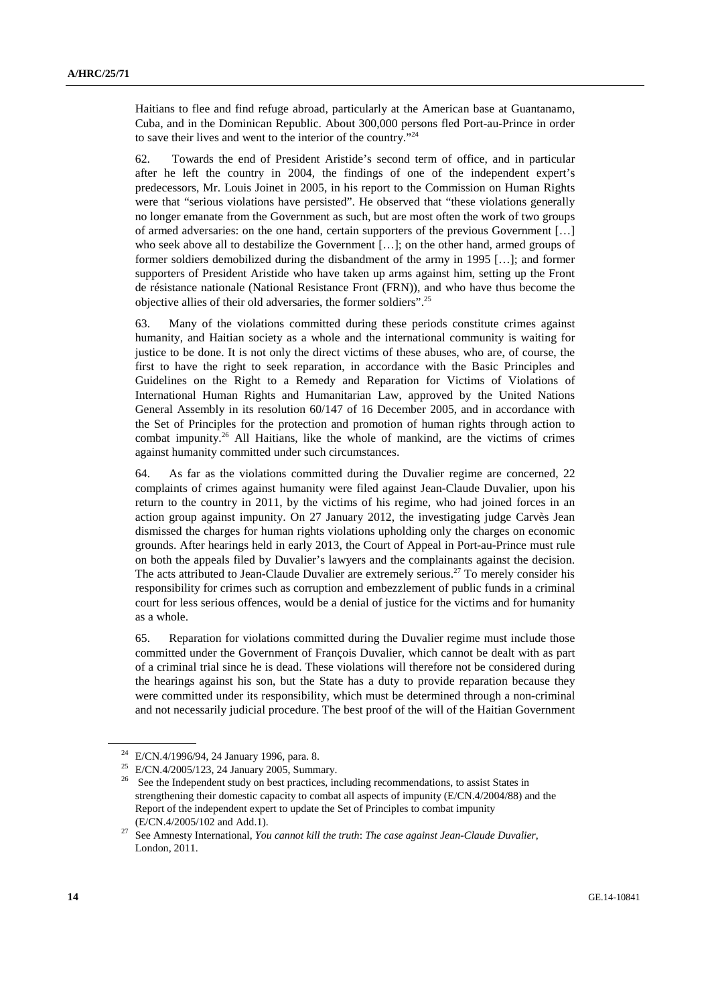Haitians to flee and find refuge abroad, particularly at the American base at Guantanamo, Cuba, and in the Dominican Republic. About 300,000 persons fled Port-au-Prince in order to save their lives and went to the interior of the country."24

62. Towards the end of President Aristide's second term of office, and in particular after he left the country in 2004, the findings of one of the independent expert's predecessors, Mr. Louis Joinet in 2005, in his report to the Commission on Human Rights were that "serious violations have persisted". He observed that "these violations generally no longer emanate from the Government as such, but are most often the work of two groups of armed adversaries: on the one hand, certain supporters of the previous Government […] who seek above all to destabilize the Government […]; on the other hand, armed groups of former soldiers demobilized during the disbandment of the army in 1995 […]; and former supporters of President Aristide who have taken up arms against him, setting up the Front de résistance nationale (National Resistance Front (FRN)), and who have thus become the objective allies of their old adversaries, the former soldiers".25

63. Many of the violations committed during these periods constitute crimes against humanity, and Haitian society as a whole and the international community is waiting for justice to be done. It is not only the direct victims of these abuses, who are, of course, the first to have the right to seek reparation, in accordance with the Basic Principles and Guidelines on the Right to a Remedy and Reparation for Victims of Violations of International Human Rights and Humanitarian Law, approved by the United Nations General Assembly in its resolution 60/147 of 16 December 2005, and in accordance with the Set of Principles for the protection and promotion of human rights through action to combat impunity.<sup>26</sup> All Haitians, like the whole of mankind, are the victims of crimes against humanity committed under such circumstances.

64. As far as the violations committed during the Duvalier regime are concerned, 22 complaints of crimes against humanity were filed against Jean-Claude Duvalier, upon his return to the country in 2011, by the victims of his regime, who had joined forces in an action group against impunity. On 27 January 2012, the investigating judge Carvès Jean dismissed the charges for human rights violations upholding only the charges on economic grounds. After hearings held in early 2013, the Court of Appeal in Port-au-Prince must rule on both the appeals filed by Duvalier's lawyers and the complainants against the decision. The acts attributed to Jean-Claude Duvalier are extremely serious.<sup>27</sup> To merely consider his responsibility for crimes such as corruption and embezzlement of public funds in a criminal court for less serious offences, would be a denial of justice for the victims and for humanity as a whole.

65. Reparation for violations committed during the Duvalier regime must include those committed under the Government of François Duvalier, which cannot be dealt with as part of a criminal trial since he is dead. These violations will therefore not be considered during the hearings against his son, but the State has a duty to provide reparation because they were committed under its responsibility, which must be determined through a non-criminal and not necessarily judicial procedure. The best proof of the will of the Haitian Government

<sup>24</sup> E/CN.4/1996/94, 24 January 1996, para. 8.

<sup>25</sup> E/CN.4/2005/123, 24 January 2005, Summary.

<sup>&</sup>lt;sup>26</sup> See the Independent study on best practices, including recommendations, to assist States in strengthening their domestic capacity to combat all aspects of impunity (E/CN.4/2004/88) and the Report of the independent expert to update the Set of Principles to combat impunity

<sup>(</sup>E/CN.4/2005/102 and Add.1). 27 See Amnesty International, *You cannot kill the truth*: *The case against Jean-Claude Duvalier*, London, 2011.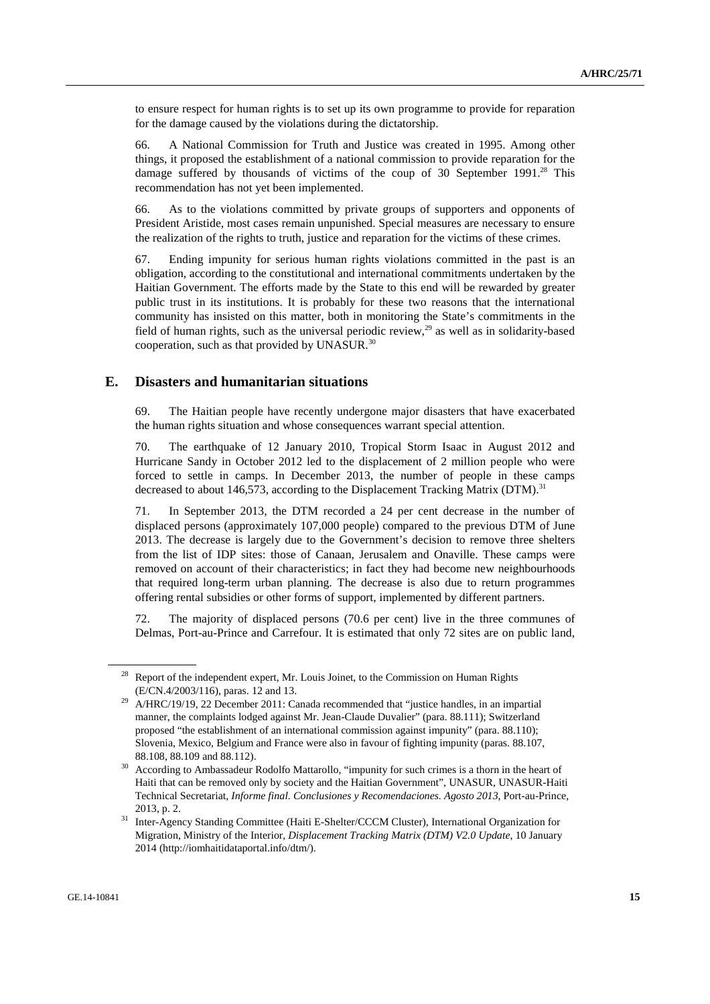to ensure respect for human rights is to set up its own programme to provide for reparation for the damage caused by the violations during the dictatorship.

66. A National Commission for Truth and Justice was created in 1995. Among other things, it proposed the establishment of a national commission to provide reparation for the damage suffered by thousands of victims of the coup of 30 September  $1991.^{28}$  This recommendation has not yet been implemented.

66. As to the violations committed by private groups of supporters and opponents of President Aristide, most cases remain unpunished. Special measures are necessary to ensure the realization of the rights to truth, justice and reparation for the victims of these crimes.

67. Ending impunity for serious human rights violations committed in the past is an obligation, according to the constitutional and international commitments undertaken by the Haitian Government. The efforts made by the State to this end will be rewarded by greater public trust in its institutions. It is probably for these two reasons that the international community has insisted on this matter, both in monitoring the State's commitments in the field of human rights, such as the universal periodic review,<sup>29</sup> as well as in solidarity-based cooperation, such as that provided by UNASUR.30

#### **E. Disasters and humanitarian situations**

69. The Haitian people have recently undergone major disasters that have exacerbated the human rights situation and whose consequences warrant special attention.

70. The earthquake of 12 January 2010, Tropical Storm Isaac in August 2012 and Hurricane Sandy in October 2012 led to the displacement of 2 million people who were forced to settle in camps. In December 2013, the number of people in these camps decreased to about 146,573, according to the Displacement Tracking Matrix (DTM).<sup>31</sup>

71. In September 2013, the DTM recorded a 24 per cent decrease in the number of displaced persons (approximately 107,000 people) compared to the previous DTM of June 2013. The decrease is largely due to the Government's decision to remove three shelters from the list of IDP sites: those of Canaan, Jerusalem and Onaville. These camps were removed on account of their characteristics; in fact they had become new neighbourhoods that required long-term urban planning. The decrease is also due to return programmes offering rental subsidies or other forms of support, implemented by different partners.

72. The majority of displaced persons (70.6 per cent) live in the three communes of Delmas, Port-au-Prince and Carrefour. It is estimated that only 72 sites are on public land,

<sup>&</sup>lt;sup>28</sup> Report of the independent expert, Mr. Louis Joinet, to the Commission on Human Rights

<sup>(</sup>E/CN.4/2003/116), paras. 12 and 13. 29 A/HRC/19/19, 22 December 2011: Canada recommended that "justice handles, in an impartial manner, the complaints lodged against Mr. Jean-Claude Duvalier" (para. 88.111); Switzerland proposed "the establishment of an international commission against impunity" (para. 88.110); Slovenia, Mexico, Belgium and France were also in favour of fighting impunity (paras. 88.107,

<sup>88.108, 88.109</sup> and 88.112). 30 According to Ambassadeur Rodolfo Mattarollo, "impunity for such crimes is a thorn in the heart of Haiti that can be removed only by society and the Haitian Government", UNASUR, UNASUR-Haiti Technical Secretariat, *Informe final. Conclusiones y Recomendaciones. Agosto 2013*, Port-au-Prince,

<sup>2013,</sup> p. 2. 31 Inter-Agency Standing Committee (Haiti E-Shelter/CCCM Cluster), International Organization for Migration, Ministry of the Interior, *Displacement Tracking Matrix (DTM) V2.0 Update*, 10 January 2014 (http://iomhaitidataportal.info/dtm/).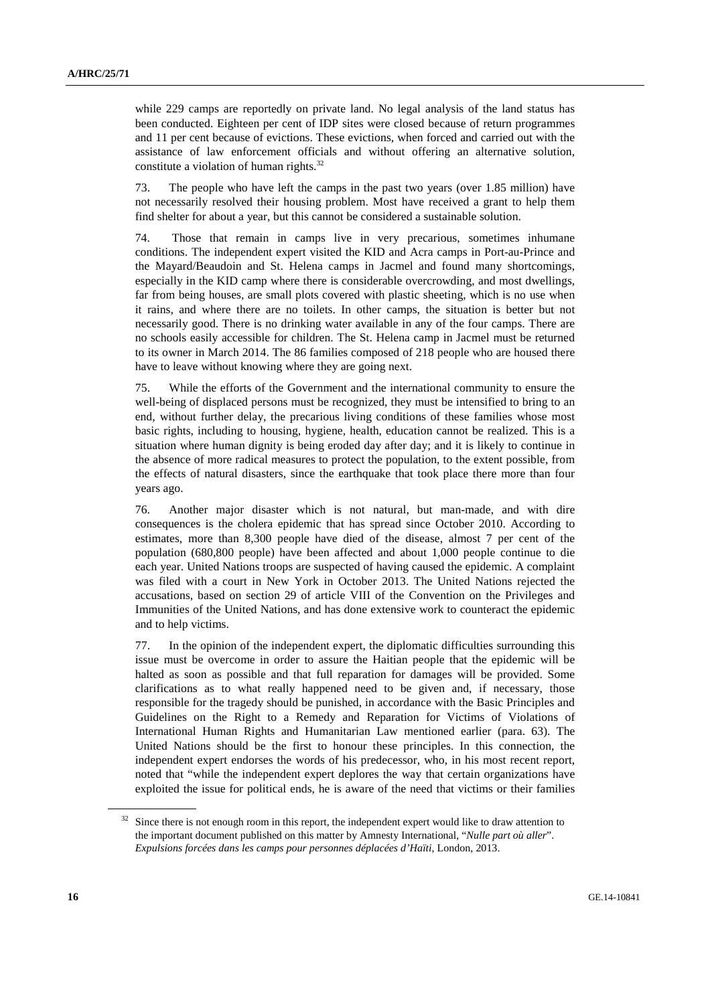while 229 camps are reportedly on private land. No legal analysis of the land status has been conducted. Eighteen per cent of IDP sites were closed because of return programmes and 11 per cent because of evictions. These evictions, when forced and carried out with the assistance of law enforcement officials and without offering an alternative solution, constitute a violation of human rights.<sup>32</sup>

73. The people who have left the camps in the past two years (over 1.85 million) have not necessarily resolved their housing problem. Most have received a grant to help them find shelter for about a year, but this cannot be considered a sustainable solution.

74. Those that remain in camps live in very precarious, sometimes inhumane conditions. The independent expert visited the KID and Acra camps in Port-au-Prince and the Mayard/Beaudoin and St. Helena camps in Jacmel and found many shortcomings, especially in the KID camp where there is considerable overcrowding, and most dwellings, far from being houses, are small plots covered with plastic sheeting, which is no use when it rains, and where there are no toilets. In other camps, the situation is better but not necessarily good. There is no drinking water available in any of the four camps. There are no schools easily accessible for children. The St. Helena camp in Jacmel must be returned to its owner in March 2014. The 86 families composed of 218 people who are housed there have to leave without knowing where they are going next.

75. While the efforts of the Government and the international community to ensure the well-being of displaced persons must be recognized, they must be intensified to bring to an end, without further delay, the precarious living conditions of these families whose most basic rights, including to housing, hygiene, health, education cannot be realized. This is a situation where human dignity is being eroded day after day; and it is likely to continue in the absence of more radical measures to protect the population, to the extent possible, from the effects of natural disasters, since the earthquake that took place there more than four years ago.

76. Another major disaster which is not natural, but man-made, and with dire consequences is the cholera epidemic that has spread since October 2010. According to estimates, more than 8,300 people have died of the disease, almost 7 per cent of the population (680,800 people) have been affected and about 1,000 people continue to die each year. United Nations troops are suspected of having caused the epidemic. A complaint was filed with a court in New York in October 2013. The United Nations rejected the accusations, based on section 29 of article VIII of the Convention on the Privileges and Immunities of the United Nations, and has done extensive work to counteract the epidemic and to help victims.

77. In the opinion of the independent expert, the diplomatic difficulties surrounding this issue must be overcome in order to assure the Haitian people that the epidemic will be halted as soon as possible and that full reparation for damages will be provided. Some clarifications as to what really happened need to be given and, if necessary, those responsible for the tragedy should be punished, in accordance with the Basic Principles and Guidelines on the Right to a Remedy and Reparation for Victims of Violations of International Human Rights and Humanitarian Law mentioned earlier (para. 63). The United Nations should be the first to honour these principles. In this connection, the independent expert endorses the words of his predecessor, who, in his most recent report, noted that "while the independent expert deplores the way that certain organizations have exploited the issue for political ends, he is aware of the need that victims or their families

Since there is not enough room in this report, the independent expert would like to draw attention to the important document published on this matter by Amnesty International, "*Nulle part où aller*". *Expulsions forcées dans les camps pour personnes déplacées d'Haïti*, London, 2013.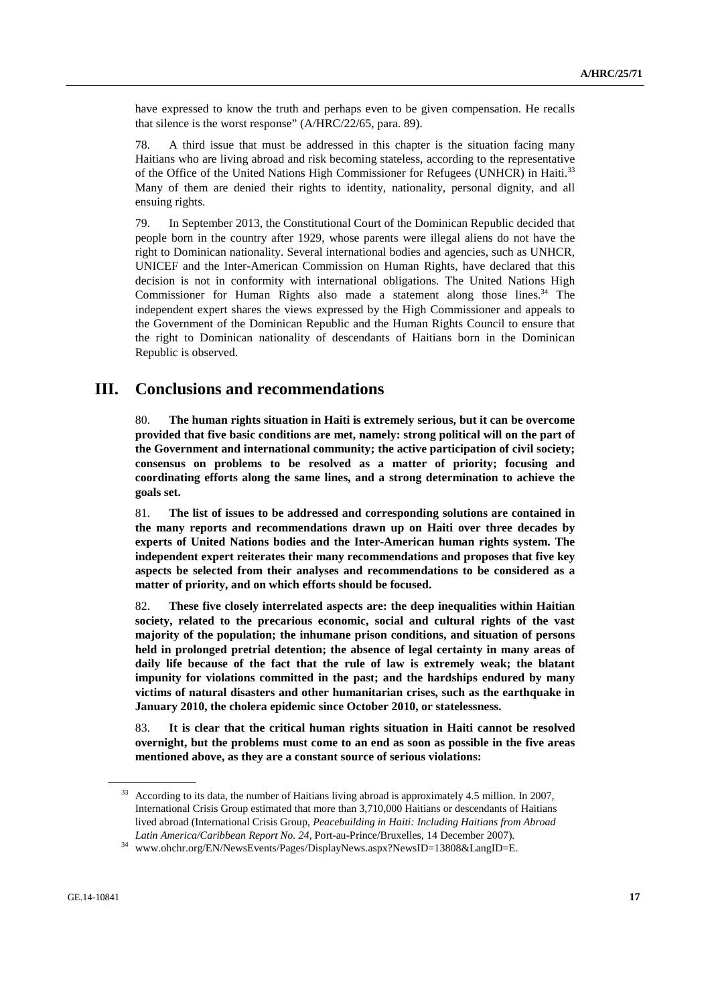have expressed to know the truth and perhaps even to be given compensation. He recalls that silence is the worst response" (A/HRC/22/65, para. 89).

78. A third issue that must be addressed in this chapter is the situation facing many Haitians who are living abroad and risk becoming stateless, according to the representative of the Office of the United Nations High Commissioner for Refugees (UNHCR) in Haiti.33 Many of them are denied their rights to identity, nationality, personal dignity, and all ensuing rights.

79. In September 2013, the Constitutional Court of the Dominican Republic decided that people born in the country after 1929, whose parents were illegal aliens do not have the right to Dominican nationality. Several international bodies and agencies, such as UNHCR, UNICEF and the Inter-American Commission on Human Rights, have declared that this decision is not in conformity with international obligations. The United Nations High Commissioner for Human Rights also made a statement along those lines. $34$  The independent expert shares the views expressed by the High Commissioner and appeals to the Government of the Dominican Republic and the Human Rights Council to ensure that the right to Dominican nationality of descendants of Haitians born in the Dominican Republic is observed.

### **III. Conclusions and recommendations**

80. **The human rights situation in Haiti is extremely serious, but it can be overcome provided that five basic conditions are met, namely: strong political will on the part of the Government and international community; the active participation of civil society; consensus on problems to be resolved as a matter of priority; focusing and coordinating efforts along the same lines, and a strong determination to achieve the goals set.** 

81. **The list of issues to be addressed and corresponding solutions are contained in the many reports and recommendations drawn up on Haiti over three decades by experts of United Nations bodies and the Inter-American human rights system. The independent expert reiterates their many recommendations and proposes that five key aspects be selected from their analyses and recommendations to be considered as a matter of priority, and on which efforts should be focused.** 

82. **These five closely interrelated aspects are: the deep inequalities within Haitian society, related to the precarious economic, social and cultural rights of the vast majority of the population; the inhumane prison conditions, and situation of persons held in prolonged pretrial detention; the absence of legal certainty in many areas of daily life because of the fact that the rule of law is extremely weak; the blatant impunity for violations committed in the past; and the hardships endured by many victims of natural disasters and other humanitarian crises, such as the earthquake in January 2010, the cholera epidemic since October 2010, or statelessness.** 

83. **It is clear that the critical human rights situation in Haiti cannot be resolved overnight, but the problems must come to an end as soon as possible in the five areas mentioned above, as they are a constant source of serious violations:** 

<sup>&</sup>lt;sup>33</sup> According to its data, the number of Haitians living abroad is approximately 4.5 million. In 2007, International Crisis Group estimated that more than 3,710,000 Haitians or descendants of Haitians lived abroad (International Crisis Group, *Peacebuilding in Haiti: Including Haitians from Abroad* 

*Latin America/Caribbean Report No. 24*, Port-au-Prince/Bruxelles, 14 December 2007). 34 www.ohchr.org/EN/NewsEvents/Pages/DisplayNews.aspx?NewsID=13808&LangID=E.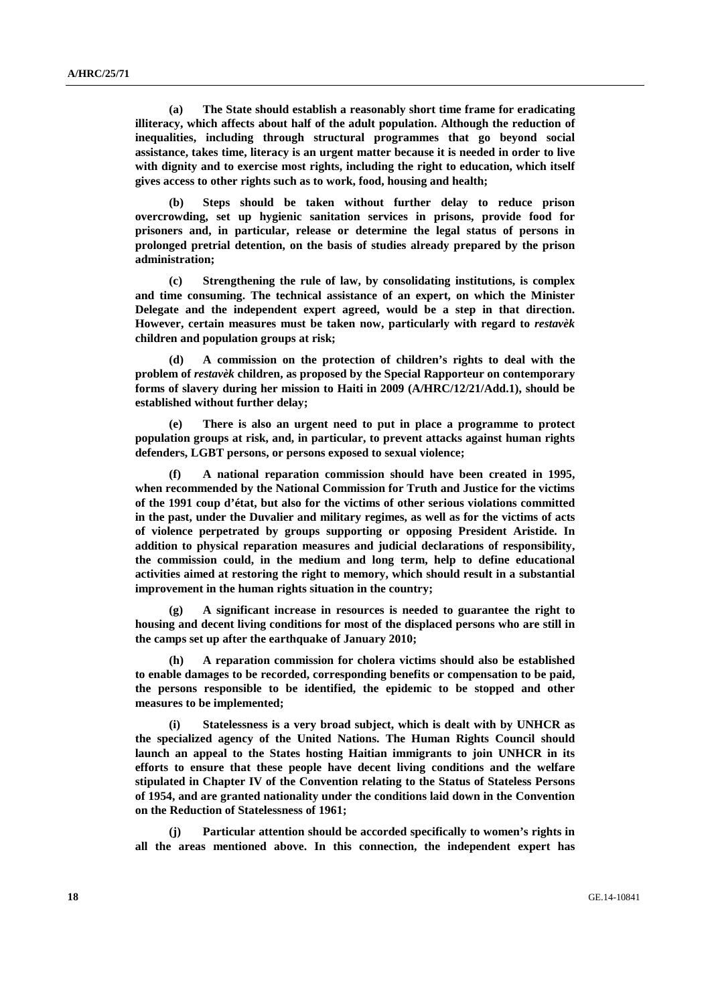**(a) The State should establish a reasonably short time frame for eradicating illiteracy, which affects about half of the adult population. Although the reduction of inequalities, including through structural programmes that go beyond social assistance, takes time, literacy is an urgent matter because it is needed in order to live with dignity and to exercise most rights, including the right to education, which itself gives access to other rights such as to work, food, housing and health;** 

 **(b) Steps should be taken without further delay to reduce prison overcrowding, set up hygienic sanitation services in prisons, provide food for prisoners and, in particular, release or determine the legal status of persons in prolonged pretrial detention, on the basis of studies already prepared by the prison administration;** 

 **(c) Strengthening the rule of law, by consolidating institutions, is complex and time consuming. The technical assistance of an expert, on which the Minister Delegate and the independent expert agreed, would be a step in that direction. However, certain measures must be taken now, particularly with regard to** *restavèk* **children and population groups at risk;** 

 **(d) A commission on the protection of children's rights to deal with the problem of** *restavèk* **children, as proposed by the Special Rapporteur on contemporary forms of slavery during her mission to Haiti in 2009 (A/HRC/12/21/Add.1), should be established without further delay;** 

There is also an urgent need to put in place a programme to protect **population groups at risk, and, in particular, to prevent attacks against human rights defenders, LGBT persons, or persons exposed to sexual violence;** 

 **(f) A national reparation commission should have been created in 1995, when recommended by the National Commission for Truth and Justice for the victims of the 1991 coup d'état, but also for the victims of other serious violations committed in the past, under the Duvalier and military regimes, as well as for the victims of acts of violence perpetrated by groups supporting or opposing President Aristide. In addition to physical reparation measures and judicial declarations of responsibility, the commission could, in the medium and long term, help to define educational activities aimed at restoring the right to memory, which should result in a substantial improvement in the human rights situation in the country;** 

 **(g) A significant increase in resources is needed to guarantee the right to housing and decent living conditions for most of the displaced persons who are still in the camps set up after the earthquake of January 2010;** 

 **(h) A reparation commission for cholera victims should also be established to enable damages to be recorded, corresponding benefits or compensation to be paid, the persons responsible to be identified, the epidemic to be stopped and other measures to be implemented;** 

 **(i) Statelessness is a very broad subject, which is dealt with by UNHCR as the specialized agency of the United Nations. The Human Rights Council should launch an appeal to the States hosting Haitian immigrants to join UNHCR in its efforts to ensure that these people have decent living conditions and the welfare stipulated in Chapter IV of the Convention relating to the Status of Stateless Persons of 1954, and are granted nationality under the conditions laid down in the Convention on the Reduction of Statelessness of 1961;** 

 **(j) Particular attention should be accorded specifically to women's rights in all the areas mentioned above. In this connection, the independent expert has**